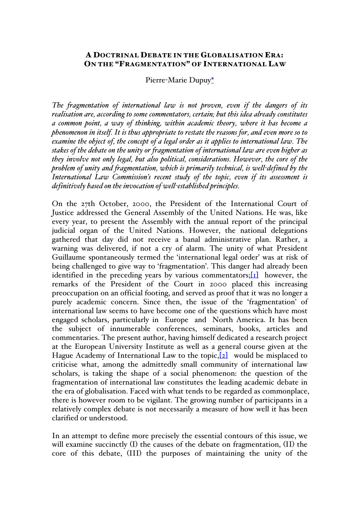# A DOCTRINAL DEBATE IN THE GLOBALISATION ERA: ON THE "FRAGMENTATION" OF INTERNATIONAL LAW

### Pierre-Marie Dupuy\*

*The fragmentation of international law is not proven, even if the dangers of its realisation are, according to some commentators, certain; but this idea already constitutes a common point, a way of thinking, within academic theory, where it has become a phenomenon in itself. It is thus appropriate to restate the reasons for, and even more so to examine the object of, the concept of a legal order as it applies to international law. The stakes of the debate on the unity or fragmentation of international law are even higher as they involve not only legal, but also political, considerations. However, the core of the problem of unity and fragmentation, which is primarily technical, is well-defined by the International Law Commission's recent study of the topic, even if its assessment is definitively based on the invocation of well-established principles.*

On the 27th October, 2000, the President of the International Court of Justice addressed the General Assembly of the United Nations. He was, like every year, to present the Assembly with the annual report of the principal judicial organ of the United Nations. However, the national delegations gathered that day did not receive a banal administrative plan. Rather, a warning was delivered, if not a cry of alarm. The unity of what President Guillaume spontaneously termed the 'international legal order' was at risk of being challenged to give way to 'fragmentation'. This danger had already been identified in the preceding years by various commentators; $[1]$  however, the remarks of the President of the Court in 2000 placed this increasing preoccupation on an official footing, and served as proof that it was no longer a purely academic concern. Since then, the issue of the 'fragmentation' of international law seems to have become one of the questions which have most engaged scholars, particularly in Europe and North America. It has been the subject of innumerable conferences, seminars, books, articles and commentaries. The present author, having himself dedicated a research project at the European University Institute as well as a general course given at the Hague Academy of International Law to the topic,  $[2]$  would be misplaced to criticise what, among the admittedly small community of international law scholars, is taking the shape of a social phenomenon: the question of the fragmentation of international law constitutes the leading academic debate in the era of globalisation. Faced with what tends to be regarded as commonplace, there is however room to be vigilant. The growing number of participants in a relatively complex debate is not necessarily a measure of how well it has been clarified or understood.

In an attempt to define more precisely the essential contours of this issue, we will examine succinctly (I) the causes of the debate on fragmentation, (II) the core of this debate, (III) the purposes of maintaining the unity of the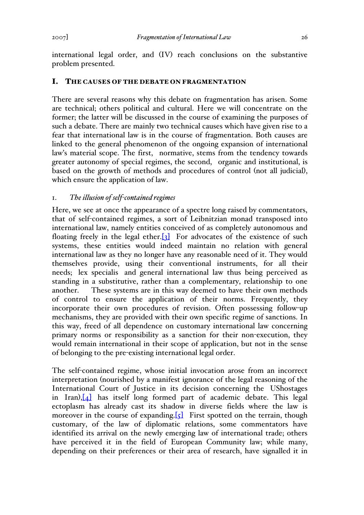international legal order, and (IV) reach conclusions on the substantive problem presented.

# I. THE CAUSES OF THE DEBATE ON FRAGMENTATION

There are several reasons why this debate on fragmentation has arisen. Some are technical; others political and cultural. Here we will concentrate on the former; the latter will be discussed in the course of examining the purposes of such a debate. There are mainly two technical causes which have given rise to a fear that international law is in the course of fragmentation. Both causes are linked to the general phenomenon of the ongoing expansion of international law's material scope. The first, normative, stems from the tendency towards greater autonomy of special regimes, the second, organic and institutional, is based on the growth of methods and procedures of control (not all judicial), which ensure the application of law.

## 1. *The illusion of self-contained regimes*

Here, we see at once the appearance of a spectre long raised by commentators, that of self-contained regimes, a sort of Leibnitzian monad transposed into international law, namely entities conceived of as completely autonomous and floating freely in the legal ether. $\begin{bmatrix} 3 \end{bmatrix}$  For advocates of the existence of such systems, these entities would indeed maintain no relation with general international law as they no longer have any reasonable need of it. They would themselves provide, using their conventional instruments, for all their needs; lex specialis and general international law thus being perceived as standing in a substitutive, rather than a complementary, relationship to one another. These systems are in this way deemed to have their own methods of control to ensure the application of their norms. Frequently, they incorporate their own procedures of revision. Often possessing follow-up mechanisms, they are provided with their own specific regime of sanctions. In this way, freed of all dependence on customary international law concerning primary norms or responsibility as a sanction for their non-execution, they would remain international in their scope of application, but not in the sense of belonging to the pre-existing international legal order.

The self-contained regime, whose initial invocation arose from an incorrect interpretation (nourished by a manifest ignorance of the legal reasoning of the International Court of Justice in its decision concerning the UShostages in Iran),[4] has itself long formed part of academic debate. This legal ectoplasm has already cast its shadow in diverse fields where the law is moreover in the course of expanding.  $[5]$  First spotted on the terrain, though customary, of the law of diplomatic relations, some commentators have identified its arrival on the newly emerging law of international trade; others have perceived it in the field of European Community law; while many, depending on their preferences or their area of research, have signalled it in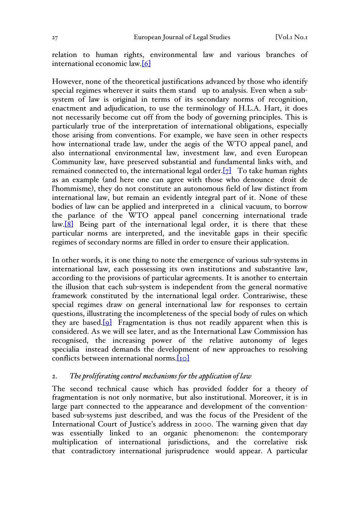relation to human rights, environmental law and various branches of international economic law.[6]

However, none of the theoretical justifications advanced by those who identify special regimes wherever it suits them stand up to analysis. Even when a subsystem of law is original in terms of its secondary norms of recognition, enactment and adjudication, to use the terminology of H.L.A. Hart, it does not necessarily become cut off from the body of governing principles. This is particularly true of the interpretation of international obligations, especially those arising from conventions. For example, we have seen in other respects how international trade law, under the aegis of the WTO appeal panel, and also international environmental law, investment law, and even European Community law, have preserved substantial and fundamental links with, and remained connected to, the international legal order. $[7]$  To take human rights as an example (and here one can agree with those who denounce droit de l'hommisme), they do not constitute an autonomous field of law distinct from international law, but remain an evidently integral part of it. None of these bodies of law can be applied and interpreted in a clinical vacuum, to borrow the parlance of the WTO appeal panel concerning international trade law.[8] Being part of the international legal order, it is there that these particular norms are interpreted, and the inevitable gaps in their specific regimes of secondary norms are filled in order to ensure their application.

In other words, it is one thing to note the emergence of various sub-systems in international law, each possessing its own institutions and substantive law, according to the provisions of particular agreements. It is another to entertain the illusion that each sub-system is independent from the general normative framework constituted by the international legal order. Contrariwise, these special regimes draw on general international law for responses to certain questions, illustrating the incompleteness of the special body of rules on which they are based. $[9]$  Fragmentation is thus not readily apparent when this is considered. As we will see later, and as the International Law Commission has recognised, the increasing power of the relative autonomy of leges specialia instead demands the development of new approaches to resolving conflicts between international norms.[10]

### 2. *The proliferating control mechanisms for the application of law*

The second technical cause which has provided fodder for a theory of fragmentation is not only normative, but also institutional. Moreover, it is in large part connected to the appearance and development of the conventionbased sub-systems just described, and was the focus of the President of the International Court of Justice's address in 2000. The warning given that day was essentially linked to an organic phenomenon: the contemporary multiplication of international jurisdictions, and the correlative risk that contradictory international jurisprudence would appear. A particular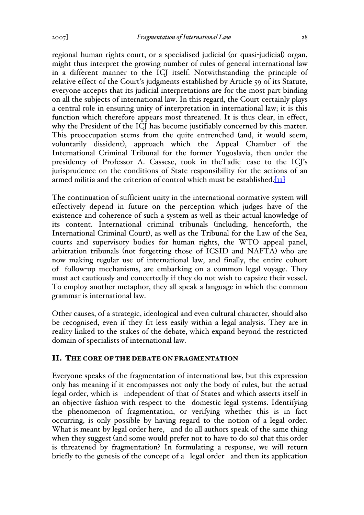regional human rights court, or a specialised judicial (or quasi-judicial) organ, might thus interpret the growing number of rules of general international law in a different manner to the ICJ itself. Notwithstanding the principle of relative effect of the Court's judgments established by Article 59 of its Statute, everyone accepts that its judicial interpretations are for the most part binding on all the subjects of international law. In this regard, the Court certainly plays a central role in ensuring unity of interpretation in international law; it is this function which therefore appears most threatened. It is thus clear, in effect, why the President of the ICJ has become justifiably concerned by this matter. This preoccupation stems from the quite entrenched (and, it would seem, voluntarily dissident), approach which the Appeal Chamber of the International Criminal Tribunal for the former Yugoslavia, then under the presidency of Professor A. Cassese, took in theTadic case to the ICJ's jurisprudence on the conditions of State responsibility for the actions of an armed militia and the criterion of control which must be established. $\text{I}_{II}$ 

The continuation of sufficient unity in the international normative system will effectively depend in future on the perception which judges have of the existence and coherence of such a system as well as their actual knowledge of its content. International criminal tribunals (including, henceforth, the International Criminal Court), as well as the Tribunal for the Law of the Sea, courts and supervisory bodies for human rights, the WTO appeal panel, arbitration tribunals (not forgetting those of ICSID and NAFTA) who are now making regular use of international law, and finally, the entire cohort of follow-up mechanisms, are embarking on a common legal voyage. They must act cautiously and concertedly if they do not wish to capsize their vessel. To employ another metaphor, they all speak a language in which the common grammar is international law.

Other causes, of a strategic, ideological and even cultural character, should also be recognised, even if they fit less easily within a legal analysis. They are in reality linked to the stakes of the debate, which expand beyond the restricted domain of specialists of international law.

### II. THE CORE OF THE DEBATE ON FRAGMENTATION

Everyone speaks of the fragmentation of international law, but this expression only has meaning if it encompasses not only the body of rules, but the actual legal order, which is independent of that of States and which asserts itself in an objective fashion with respect to the domestic legal systems. Identifying the phenomenon of fragmentation, or verifying whether this is in fact occurring, is only possible by having regard to the notion of a legal order. What is meant by legal order here, and do all authors speak of the same thing when they suggest (and some would prefer not to have to do so) that this order is threatened by fragmentation? In formulating a response, we will return briefly to the genesis of the concept of a legal order and then its application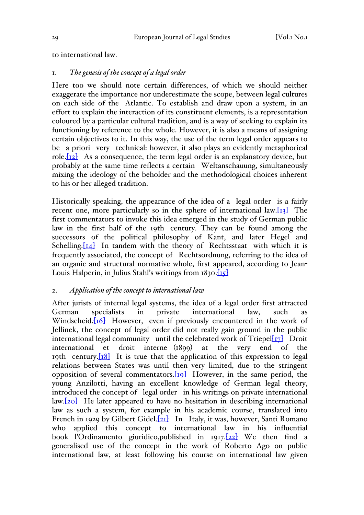to international law.

# 1. *The genesis of the concept of a legal order*

Here too we should note certain differences, of which we should neither exaggerate the importance nor underestimate the scope, between legal cultures on each side of the Atlantic. To establish and draw upon a system, in an effort to explain the interaction of its constituent elements, is a representation coloured by a particular cultural tradition, and is a way of seeking to explain its functioning by reference to the whole. However, it is also a means of assigning certain objectives to it. In this way, the use of the term legal order appears to be a priori very technical: however, it also plays an evidently metaphorical role. $[12]$  As a consequence, the term legal order is an explanatory device, but probably at the same time reflects a certain Weltanschauung, simultaneously mixing the ideology of the beholder and the methodological choices inherent to his or her alleged tradition.

Historically speaking, the appearance of the idea of a legal order is a fairly recent one, more particularly so in the sphere of international law. $\begin{bmatrix} 1 & 1 \\ 1 & 2 \end{bmatrix}$  The first commentators to invoke this idea emerged in the study of German public law in the first half of the 19th century. They can be found among the successors of the political philosophy of Kant, and later Hegel and Schelling. $[14]$  In tandem with the theory of Rechtsstaat with which it is frequently associated, the concept of Rechtsordnung, referring to the idea of an organic and structural normative whole, first appeared, according to Jean-Louis Halperin, in Julius Stahl's writings from 1830.[15]

#### 2. *Application of the concept to international law*

After jurists of internal legal systems, the idea of a legal order first attracted German specialists in private international law, such as Windscheid.<sup>[16]</sup> However, even if previously encountered in the work of Jellinek, the concept of legal order did not really gain ground in the public international legal community until the celebrated work of  $Triepel[i7]$  Droit international et droit interne (1899) at the very end of the 19th century. $[18]$  It is true that the application of this expression to legal relations between States was until then very limited, due to the stringent opposition of several commentators. $[19]$  However, in the same period, the young Anzilotti, having an excellent knowledge of German legal theory, introduced the concept of legal order in his writings on private international law.[20] He later appeared to have no hesitation in describing international law as such a system, for example in his academic course, translated into French in 1929 by Gilbert Gidel.<sup>[21]</sup> In Italy, it was, however, Santi Romano who applied this concept to international law in his influential book l'Ordinamento giuridico,published in 1917.[22] We then find a generalised use of the concept in the work of Roberto Ago on public international law, at least following his course on international law given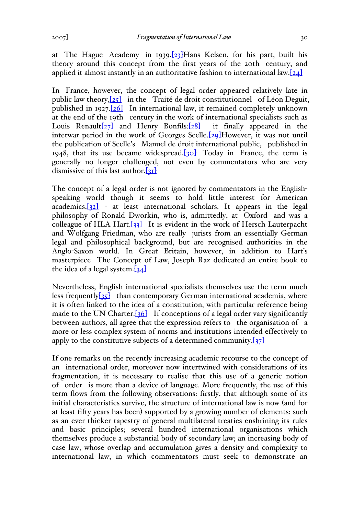In France, however, the concept of legal order appeared relatively late in public law theory,[25] in the Traité de droit constitutionnel of Léon Deguit, published in 1927.[26] In international law, it remained completely unknown at the end of the 19th century in the work of international specialists such as Louis Renault $[27]$  and Henry Bonfils: $[28]$  it finally appeared in the interwar period in the work of Georges Scelle.<sup>[29]</sup>However, it was not until the publication of Scelle's Manuel de droit international public, published in 1948, that its use became widespread.<sup>[30]</sup> Today in France, the term is generally no longer challenged, not even by commentators who are very dismissive of this last author. $[31]$ 

The concept of a legal order is not ignored by commentators in the Englishspeaking world though it seems to hold little interest for American  $academics, [32]$  - at least international scholars. It appears in the legal philosophy of Ronald Dworkin, who is, admittedly, at Oxford and was a colleague of HLA Hart. $\left[33\right]$  It is evident in the work of Hersch Lauterpacht and Wolfgang Friedman, who are really jurists from an essentially German legal and philosophical background, but are recognised authorities in the Anglo-Saxon world. In Great Britain, however, in addition to Hart's masterpiece The Concept of Law, Joseph Raz dedicated an entire book to the idea of a legal system. $[34]$ 

Nevertheless, English international specialists themselves use the term much less frequently<sup>[35]</sup> than contemporary German international academia, where it is often linked to the idea of a constitution, with particular reference being made to the UN Charter.  $[36]$  If conceptions of a legal order vary significantly between authors, all agree that the expression refers to the organisation of a more or less complex system of norms and institutions intended effectively to apply to the constitutive subjects of a determined community. $[37]$ 

If one remarks on the recently increasing academic recourse to the concept of an international order, moreover now intertwined with considerations of its fragmentation, it is necessary to realise that this use of a generic notion of order is more than a device of language. More frequently, the use of this term flows from the following observations: firstly, that although some of its initial characteristics survive, the structure of international law is now (and for at least fifty years has been) supported by a growing number of elements: such as an ever thicker tapestry of general multilateral treaties enshrining its rules and basic principles; several hundred international organisations which themselves produce a substantial body of secondary law; an increasing body of case law, whose overlap and accumulation gives a density and complexity to international law, in which commentators must seek to demonstrate an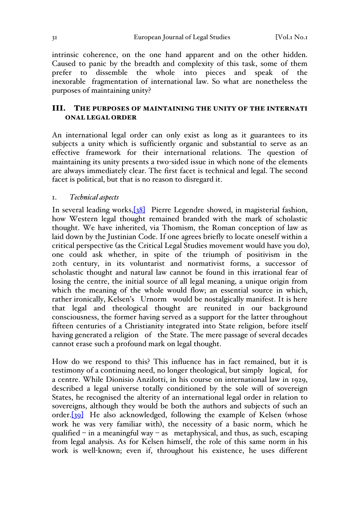intrinsic coherence, on the one hand apparent and on the other hidden. Caused to panic by the breadth and complexity of this task, some of them prefer to dissemble the whole into pieces and speak of the inexorable fragmentation of international law. So what are nonetheless the purposes of maintaining unity?

# III. THE PURPOSES OF MAINTAINING THE UNITY OF THE INTERNATI ONAL LEGAL ORDER

An international legal order can only exist as long as it guarantees to its subjects a unity which is sufficiently organic and substantial to serve as an effective framework for their international relations. The question of maintaining its unity presents a two-sided issue in which none of the elements are always immediately clear. The first facet is technical and legal. The second facet is political, but that is no reason to disregard it.

### 1. *Technical aspects*

In several leading works,[38] Pierre Legendre showed, in magisterial fashion, how Western legal thought remained branded with the mark of scholastic thought. We have inherited, via Thomism, the Roman conception of law as laid down by the Justinian Code. If one agrees briefly to locate oneself within a critical perspective (as the Critical Legal Studies movement would have you do), one could ask whether, in spite of the triumph of positivism in the 20th century, in its voluntarist and normativist forms, a successor of scholastic thought and natural law cannot be found in this irrational fear of losing the centre, the initial source of all legal meaning, a unique origin from which the meaning of the whole would flow; an essential source in which, rather ironically, Kelsen's Urnorm would be nostalgically manifest. It is here that legal and theological thought are reunited in our background consciousness, the former having served as a support for the latter throughout fifteen centuries of a Christianity integrated into State religion, before itself having generated a religion of the State. The mere passage of several decades cannot erase such a profound mark on legal thought.

How do we respond to this? This influence has in fact remained, but it is testimony of a continuing need, no longer theological, but simply logical, for a centre. While Dionisio Anzilotti, in his course on international law in 1929, described a legal universe totally conditioned by the sole will of sovereign States, he recognised the alterity of an international legal order in relation to sovereigns, although they would be both the authors and subjects of such an order.<sup>[39]</sup> He also acknowledged, following the example of Kelsen (whose work he was very familiar with), the necessity of a basic norm, which he qualified – in a meaningful way – as metaphysical, and thus, as such, escaping from legal analysis. As for Kelsen himself, the role of this same norm in his work is well-known; even if, throughout his existence, he uses different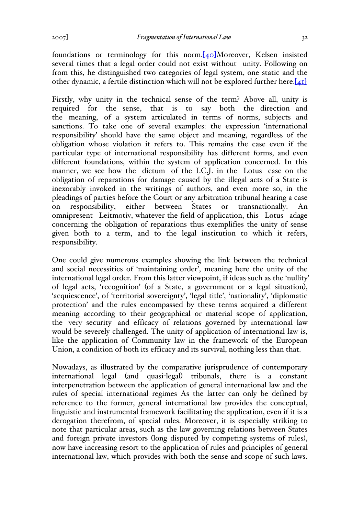foundations or terminology for this norm.<sup>[40]</sup>Moreover, Kelsen insisted several times that a legal order could not exist without unity. Following on from this, he distinguished two categories of legal system, one static and the other dynamic, a fertile distinction which will not be explored further here. $[41]$ 

Firstly, why unity in the technical sense of the term? Above all, unity is required for the sense, that is to say both the direction and the meaning, of a system articulated in terms of norms, subjects and sanctions. To take one of several examples: the expression 'international responsibility' should have the same object and meaning, regardless of the obligation whose violation it refers to. This remains the case even if the particular type of international responsibility has different forms, and even different foundations, within the system of application concerned. In this manner, we see how the dictum of the I.C.J. in the Lotus case on the obligation of reparations for damage caused by the illegal acts of a State is inexorably invoked in the writings of authors, and even more so, in the pleadings of parties before the Court or any arbitration tribunal hearing a case on responsibility, either between States or transnationally. An omnipresent Leitmotiv, whatever the field of application, this Lotus adage concerning the obligation of reparations thus exemplifies the unity of sense given both to a term, and to the legal institution to which it refers, responsibility.

One could give numerous examples showing the link between the technical and social necessities of 'maintaining order', meaning here the unity of the international legal order. From this latter viewpoint, if ideas such as the 'nullity' of legal acts, 'recognition' (of a State, a government or a legal situation), 'acquiescence', of 'territorial sovereignty', 'legal title', 'nationality', 'diplomatic protection' and the rules encompassed by these terms acquired a different meaning according to their geographical or material scope of application, the very security and efficacy of relations governed by international law would be severely challenged. The unity of application of international law is, like the application of Community law in the framework of the European Union, a condition of both its efficacy and its survival, nothing less than that.

Nowadays, as illustrated by the comparative jurisprudence of contemporary international legal (and quasi-legal) tribunals, there is a constant interpenetration between the application of general international law and the rules of special international regimes As the latter can only be defined by reference to the former, general international law provides the conceptual, linguistic and instrumental framework facilitating the application, even if it is a derogation therefrom, of special rules. Moreover, it is especially striking to note that particular areas, such as the law governing relations between States and foreign private investors (long disputed by competing systems of rules), now have increasing resort to the application of rules and principles of general international law, which provides with both the sense and scope of such laws.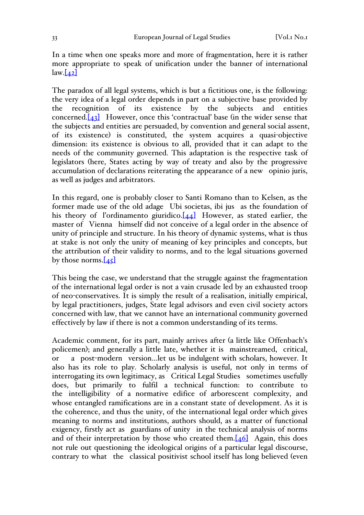In a time when one speaks more and more of fragmentation, here it is rather more appropriate to speak of unification under the banner of international  $\text{law}$ .  $\{42\}$ 

The paradox of all legal systems, which is but a fictitious one, is the following: the very idea of a legal order depends in part on a subjective base provided by the recognition of its existence by the subjects and entities concerned. $[43]$  However, once this 'contractual' base (in the wider sense that the subjects and entities are persuaded, by convention and general social assent, of its existence) is constituted, the system acquires a quasi-objective dimension: its existence is obvious to all, provided that it can adapt to the needs of the community governed. This adaptation is the respective task of legislators (here, States acting by way of treaty and also by the progressive accumulation of declarations reiterating the appearance of a new opinio juris, as well as judges and arbitrators.

In this regard, one is probably closer to Santi Romano than to Kelsen, as the former made use of the old adage Ubi societas, ibi jus as the foundation of his theory of l'ordinamento giuridico. $[44]$  However, as stated earlier, the master of Vienna himself did not conceive of a legal order in the absence of unity of principle and structure. In his theory of dynamic systems, what is thus at stake is not only the unity of meaning of key principles and concepts, but the attribution of their validity to norms, and to the legal situations governed by those norms. $[45]$ 

This being the case, we understand that the struggle against the fragmentation of the international legal order is not a vain crusade led by an exhausted troop of neo-conservatives. It is simply the result of a realisation, initially empirical, by legal practitioners, judges, State legal advisors and even civil society actors concerned with law, that we cannot have an international community governed effectively by law if there is not a common understanding of its terms.

Academic comment, for its part, mainly arrives after (a little like Offenbach's policemen); and generally a little late, whether it is mainstreamed, critical, or a post-modern version…let us be indulgent with scholars, however. It also has its role to play. Scholarly analysis is useful, not only in terms of interrogating its own legitimacy, as Critical Legal Studies sometimes usefully does, but primarily to fulfil a technical function: to contribute to the intelligibility of a normative edifice of arborescent complexity, and whose entangled ramifications are in a constant state of development. As it is the coherence, and thus the unity, of the international legal order which gives meaning to norms and institutions, authors should, as a matter of functional exigency, firstly act as guardians of unity in the technical analysis of norms and of their interpretation by those who created them. $[46]$  Again, this does not rule out questioning the ideological origins of a particular legal discourse, contrary to what the classical positivist school itself has long believed (even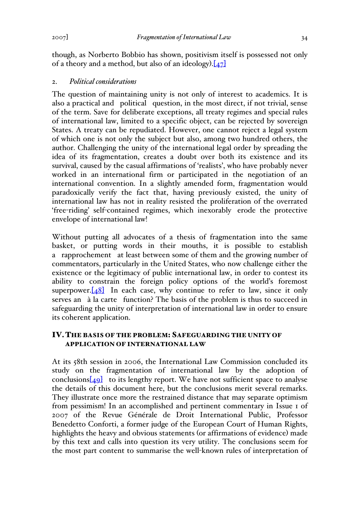though, as Norberto Bobbio has shown, positivism itself is possessed not only of a theory and a method, but also of an ideology). $[47]$ 

#### 2. *Political considerations*

The question of maintaining unity is not only of interest to academics. It is also a practical and political question, in the most direct, if not trivial, sense of the term. Save for deliberate exceptions, all treaty regimes and special rules of international law, limited to a specific object, can be rejected by sovereign States. A treaty can be repudiated. However, one cannot reject a legal system of which one is not only the subject but also, among two hundred others, the author. Challenging the unity of the international legal order by spreading the idea of its fragmentation, creates a doubt over both its existence and its survival, caused by the casual affirmations of 'realists', who have probably never worked in an international firm or participated in the negotiation of an international convention. In a slightly amended form, fragmentation would paradoxically verify the fact that, having previously existed, the unity of international law has not in reality resisted the proliferation of the overrated 'free-riding' self-contained regimes, which inexorably erode the protective envelope of international law!

Without putting all advocates of a thesis of fragmentation into the same basket, or putting words in their mouths, it is possible to establish a rapprochement at least between some of them and the growing number of commentators, particularly in the United States, who now challenge either the existence or the legitimacy of public international law, in order to contest its ability to constrain the foreign policy options of the world's foremost superpower. $[48]$  In each case, why continue to refer to law, since it only serves an à la carte function? The basis of the problem is thus to succeed in safeguarding the unity of interpretation of international law in order to ensure its coherent application.

## IV.THE BASIS OF THE PROBLEM:SAFEGUARDING THE UNITY OF APPLICATION OF INTERNATIONAL LAW

At its 58th session in 2006, the International Law Commission concluded its study on the fragmentation of international law by the adoption of conclusions $\boxed{49}$  to its lengthy report. We have not sufficient space to analyse the details of this document here, but the conclusions merit several remarks. They illustrate once more the restrained distance that may separate optimism from pessimism! In an accomplished and pertinent commentary in Issue 1 of 2007 of the Revue Générale de Droit International Public, Professor Benedetto Conforti, a former judge of the European Court of Human Rights, highlights the heavy and obvious statements (or affirmations of evidence) made by this text and calls into question its very utility. The conclusions seem for the most part content to summarise the well-known rules of interpretation of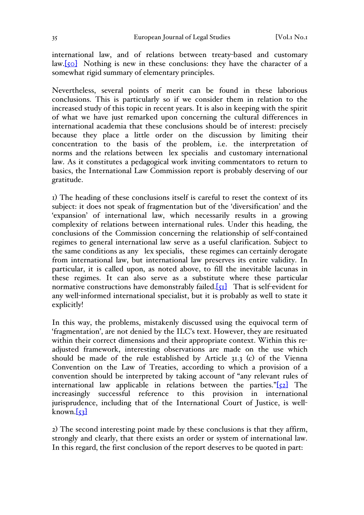international law, and of relations between treaty-based and customary  $\text{law}[\text{sol}]$  Nothing is new in these conclusions: they have the character of a somewhat rigid summary of elementary principles.

Nevertheless, several points of merit can be found in these laborious conclusions. This is particularly so if we consider them in relation to the increased study of this topic in recent years. It is also in keeping with the spirit of what we have just remarked upon concerning the cultural differences in international academia that these conclusions should be of interest: precisely because they place a little order on the discussion by limiting their concentration to the basis of the problem, i.e. the interpretation of norms and the relations between lex specialis and customary international law. As it constitutes a pedagogical work inviting commentators to return to basics, the International Law Commission report is probably deserving of our gratitude.

1) The heading of these conclusions itself is careful to reset the context of its subject: it does not speak of fragmentation but of the 'diversification' and the 'expansion' of international law, which necessarily results in a growing complexity of relations between international rules. Under this heading, the conclusions of the Commission concerning the relationship of self-contained regimes to general international law serve as a useful clarification. Subject to the same conditions as any lex specialis, these regimes can certainly derogate from international law, but international law preserves its entire validity. In particular, it is called upon, as noted above, to fill the inevitable lacunas in these regimes. It can also serve as a substitute where these particular normative constructions have demonstrably failed. $[51]$  That is self-evident for any well-informed international specialist, but it is probably as well to state it explicitly!

In this way, the problems, mistakenly discussed using the equivocal term of 'fragmentation', are not denied by the ILC's text. However, they are resituated within their correct dimensions and their appropriate context. Within this readjusted framework, interesting observations are made on the use which should be made of the rule established by Article 31.3 (c) of the Vienna Convention on the Law of Treaties, according to which a provision of a convention should be interpreted by taking account of "any relevant rules of international law applicable in relations between the parties." $[52]$  The increasingly successful reference to this provision in international jurisprudence, including that of the International Court of Justice, is well $k$ nown. $\left[53\right]$ 

2) The second interesting point made by these conclusions is that they affirm, strongly and clearly, that there exists an order or system of international law. In this regard, the first conclusion of the report deserves to be quoted in part: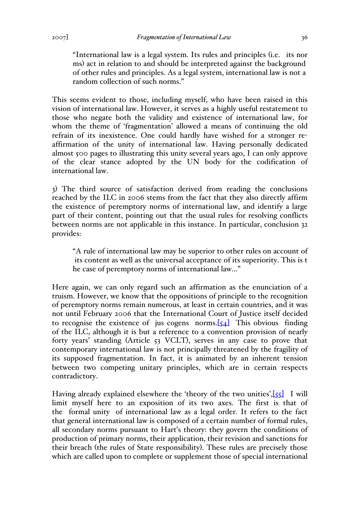"International law is a legal system. Its rules and principles (i.e. its nor ms) act in relation to and should be interpreted against the background of other rules and principles. As a legal system, international law is not a random collection of such norms."

This seems evident to those, including myself, who have been raised in this vision of international law. However, it serves as a highly useful restatement to those who negate both the validity and existence of international law, for whom the theme of 'fragmentation' allowed a means of continuing the old refrain of its inexistence. One could hardly have wished for a stronger reaffirmation of the unity of international law. Having personally dedicated almost 500 pages to illustrating this unity several years ago, I can only approve of the clear stance adopted by the UN body for the codification of international law.

3) The third source of satisfaction derived from reading the conclusions reached by the ILC in 2006 stems from the fact that they also directly affirm the existence of peremptory norms of international law, and identify a large part of their content, pointing out that the usual rules for resolving conflicts between norms are not applicable in this instance. In particular, conclusion 32 provides:

"A rule of international law may be superior to other rules on account of its content as well as the universal acceptance of its superiority. This is t he case of peremptory norms of international law…"

Here again, we can only regard such an affirmation as the enunciation of a truism. However, we know that the oppositions of principle to the recognition of peremptory norms remain numerous, at least in certain countries, and it was not until February 2006 that the International Court of Justice itself decided to recognise the existence of jus cogens norms. $[54]$  This obvious finding of the ILC, although it is but a reference to a convention provision of nearly forty years' standing (Article 53 VCLT), serves in any case to prove that contemporary international law is not principally threatened by the fragility of its supposed fragmentation. In fact, it is animated by an inherent tension between two competing unitary principles, which are in certain respects contradictory.

Having already explained elsewhere the 'theory of the two unities',[55] I will limit myself here to an exposition of its two axes. The first is that of the formal unity of international law as a legal order. It refers to the fact that general international law is composed of a certain number of formal rules, all secondary norms pursuant to Hart's theory: they govern the conditions of production of primary norms, their application, their revision and sanctions for their breach (the rules of State responsibility). These rules are precisely those which are called upon to complete or supplement those of special international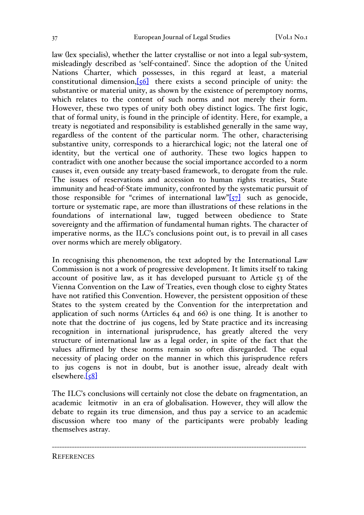law (lex specialis), whether the latter crystallise or not into a legal sub-system, misleadingly described as 'self-contained'. Since the adoption of the United Nations Charter, which possesses, in this regard at least, a material constitutional dimension, $[56]$  there exists a second principle of unity: the substantive or material unity, as shown by the existence of peremptory norms, which relates to the content of such norms and not merely their form. However, these two types of unity both obey distinct logics. The first logic, that of formal unity, is found in the principle of identity. Here, for example, a treaty is negotiated and responsibility is established generally in the same way, regardless of the content of the particular norm. The other, characterising substantive unity, corresponds to a hierarchical logic; not the lateral one of identity, but the vertical one of authority. These two logics happen to contradict with one another because the social importance accorded to a norm causes it, even outside any treaty-based framework, to derogate from the rule. The issues of reservations and accession to human rights treaties, State immunity and head-of-State immunity, confronted by the systematic pursuit of those responsible for "crimes of international law" $\left[57\right]$  such as genocide, torture or systematic rape, are more than illustrations of these relations in the foundations of international law, tugged between obedience to State sovereignty and the affirmation of fundamental human rights. The character of imperative norms, as the ILC's conclusions point out, is to prevail in all cases over norms which are merely obligatory.

In recognising this phenomenon, the text adopted by the International Law Commission is not a work of progressive development. It limits itself to taking account of positive law, as it has developed pursuant to Article 53 of the Vienna Convention on the Law of Treaties, even though close to eighty States have not ratified this Convention. However, the persistent opposition of these States to the system created by the Convention for the interpretation and application of such norms (Articles 64 and 66) is one thing. It is another to note that the doctrine of jus cogens, led by State practice and its increasing recognition in international jurisprudence, has greatly altered the very structure of international law as a legal order, in spite of the fact that the values affirmed by these norms remain so often disregarded. The equal necessity of placing order on the manner in which this jurisprudence refers to jus cogens is not in doubt, but is another issue, already dealt with  $elsewhere.[58]$ 

The ILC's conclusions will certainly not close the debate on fragmentation, an academic leitmotiv in an era of globalisation. However, they will allow the debate to regain its true dimension, and thus pay a service to an academic discussion where too many of the participants were probably leading themselves astray.

------------------------------------------------------------------------------------------------------

**REFERENCES**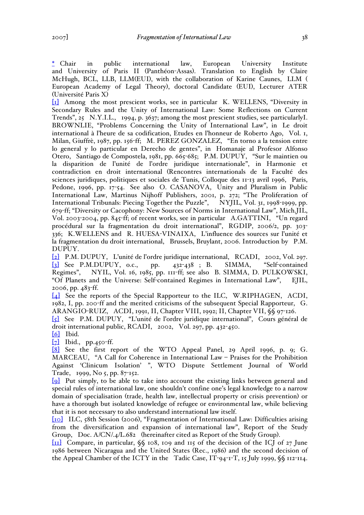\* Chair in public international law, European University Institute and University of Paris II (Panthéon-Assas). Translation to English by Claire McHugh, BCL, LLB, LLM(EUI), with the collaboration of Karine Caunes, LLM ( European Academy of Legal Theory), doctoral Candidate (EUI), Lecturer ATER (Université Paris X)

[1] Among the most prescient works, see in particular K. WELLENS, "Diversity in Secondary Rules and the Unity of International Law: Some Reflections on Current Trends", 25 N.Y.I.L., 1994, p. 3637; among the most prescient studies, see particularlyI. BROWNLIE, "Problems Concerning the Unity of International Law", in Le droit international à l'heure de sa codification, Etudes en l'honneur de Roberto Ago, Vol. 1, Milan, Giuffrè, 1987, pp. 156-ff; M. PEREZ GONZALEZ, "En torno a la tension entre lo general y lo particular en Derecho de gentes", in Homanaje al Profesor Alfonso Otero, Santiago de Compostela, 1981, pp. 665-685; P.M. DUPUY, "Sur le maintien ou la disparition de l'unité de l'ordre juridique internationale", in Harmonie et contradiction en droit international (Rencontres internationals de la Faculté des sciences juridiques, politiques et sociales de Tunis, Colloque des 11-13 avril 1996, Paris, Pedone, 1996, pp. 17-54. See also O. CASANOVA, Unity and Pluralism in Public International Law, Martinus Nijhoff Publishers, 2001, p. 272; "The Proliferation of International Tribunals: Piecing Together the Puzzle", NYJIL, Vol. 31, 1998-1999, pp. 679-ff; "Diversity or Cacophony: New Sources of Norms in International Law", Mich.JIL, Vol. 2003-2004, pp. 845-ff; of recent works, see in particular A.GATTINI, "Un regard procédural sur la fragmentation du droit international", RGDIP, 2006/2, pp. 303- 336; K.WELLENS and R. HUESA-VINAIXA, L'influence des sources sur l'unité et la fragmentation du droit international, Brussels, Bruylant, 2006. Introduction by P.M. DUPUY.

[2] P.M. DUPUY, L'unité de l'ordre juridique international, RCADI, 2002, Vol. 297. [3] See P.M.DUPUY, o.c., pp. 432-438 ; B. SIMMA, "Self-contained Regimes", NYIL, Vol. 16, 1985, pp. 111-ff; see also B. SIMMA, D. PULKOWSKI, "Of Planets and the Universe: Self-contained Regimes in International Law", EJIL, 2006, pp. 483-ff.

[4] See the reports of the Special Rapporteur to the ILC, W.RIPHAGEN, ACDI, 1982, I, pp. 200-ff and the merited criticisms of the subsequent Special Rapporteur, G. ARANGIO-RUIZ, ACDI, 1991, II, Chapter VIII, 1992; II, Chapter VII, §§ 97-126.

[5] See P.M. DUPUY, "L'unité de l'ordre juridique international", Cours général de droit international public, RCADI, 2002, Vol. 297, pp. 432-450.

[6] Ibid.

 $\lbrack 7\rbrack$  Ibid., pp.450-ff.

[8] See the first report of the WTO Appeal Panel, 29 April 1996, p. 9; G. MARCEAU, "A Call for Coherence in International Law – Praises for the Prohibition Against 'Clinicum Isolation' ", WTO Dispute Settlement Journal of World Trade, 1999, No 5, pp. 87-152.

[9] Put simply, to be able to take into account the existing links between general and special rules of international law, one shouldn't confine one's legal knowledge to a narrow domain of specialisation (trade, health law, intellectual property or crisis prevention) or have a thorough but isolated knowledge of refugee or environmental law, while believing that it is not necessary to also understand international law itself.

[10] ILC, 58th Session (2006), "Fragmentation of International Law: Difficulties arising from the diversification and expansion of international law", Report of the Study Group, Doc. A/CN/.4/L.682 (hereinafter cited as Report of the Study Group).

[11] Compare, in particular, §§ 108, 109 and 115 of the decision of the ICJ of 27 June 1986 between Nicaragua and the United States (Rec., 1986) and the second decision of the Appeal Chamber of the ICTY in the Tadic Case, IT-94-1-T, 15 July 1999, §§ 112-114.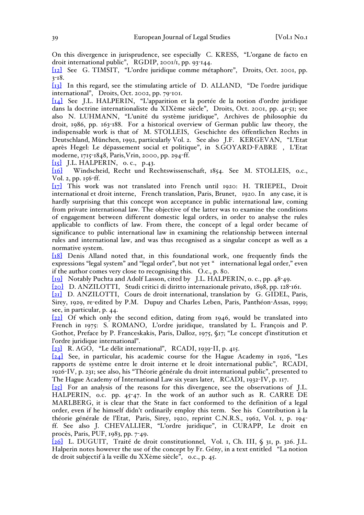On this divergence in jurisprudence, see especially C. KRESS, "L'organe de facto en droit international public", RGDIP, 2001/1, pp. 93-144.

[12] See G. TIMSIT, "L'ordre juridique comme métaphore", Droits, Oct. 2001, pp. 3-18.

[13] In this regard, see the stimulating article of D. ALLAND, "De l'ordre juridique international", Droits, Oct. 2002, pp. 79-101.

[14] See J.L. HALPERIN, "L'apparition et la portée de la notion d'ordre juridique dans la doctrine internationaliste du XIXème siècle", Droits, Oct. 2001, pp. 41-51; see also N. LUHMANN, "L'unité du système juridique", Archives de philosophie du droit, 1986, pp. 163-188. For a historical overview of German public law theory, the indispensable work is that of M. STOLLEIS, Geschichte des öffentlichen Rechts in Deutschland, München, 1992, particularly Vol. 2. See also J.F. KERGEVAN, "L'Etat après Hegel: Le dépassement social et politique", in S.GOYARD-FABRE , L'Etat moderne, 1715-1848, Paris,Vrin, 2000, pp. 294-ff.

 $\begin{bmatrix} 15 \end{bmatrix}$  J.L. HALPERIN, o. c., p.43.

[16] Windscheid, Recht und Rechtswissenschaft, 1854. See M. STOLLEIS, o.c., Vol. 2, pp. 156-ff.

[17] This work was not translated into French until 1920: H. TRIEPEL, Droit international et droit interne, French translation, Paris, Brunet, 1920. In any case, it is hardly surprising that this concept won acceptance in public international law, coming from private international law. The objective of the latter was to examine the conditions of engagement between different domestic legal orders, in order to analyse the rules applicable to conflicts of law. From there, the concept of a legal order became of significance to public international law in examining the relationship between internal rules and international law, and was thus recognised as a singular concept as well as a normative system.

[18] Denis Alland noted that, in this foundational work, one frequently finds the expressions "legal system" and "legal order", but not yet " international legal order," even if the author comes very close to recognising this. O.c., p. 80.

[19] Notably Puchta and Adolf Lasson, cited by J.L. HALPERIN, o. c., pp. 48-49.

[20] D. ANZILOTTI, Studi critici di diritto internazionale privato, 1898, pp. 128-161. [21] D. ANZILOTTI, Cours de droit international, translation by G. GIDEL, Paris, Sirey, 1929, re-edited by P.M. Dupuy and Charles Leben, Paris, Panthéon-Assas, 1999; see, in particular, p. 44.

[22] Of which only the second edition, dating from 1946, would be translated into French in 1975: S. ROMANO, L'ordre juridique, translated by L. François and P. Gothot, Preface by P. Franceskakis, Paris, Dalloz, 1975, §17; "Le concept d'institution et l'ordre juridique international".

[23] R. AGO, "Le délit international", RCADI, 1939-II, p. 415.

[24] See, in particular, his academic course for the Hague Academy in 1926, "Les rapports de système entre le droit interne et le droit international public", RCADI, 1926-IV, p. 231; see also, his "Théorie générale du droit international public", presented to The Hague Academy of International Law six years later, RCADI, 1932-IV, p. 117.

[25] For an analysis of the reasons for this divergence, see the observations of J.L. HALPERIN, o.c. pp. 45-47. In the work of an author such as R. CARRE DE MARLBERG, it is clear that the State in fact conformed to the definition of a legal order, even if he himself didn't ordinarily employ this term. See his Contribution à la théorie générale de l'Etat, Paris, Sirey, 1920, reprint C.N.R.S., 1962, Vol. 1, p. 194 ff. See also J. CHEVALLIER, "L'ordre juridique", in CURAPP, Le droit en procès, Paris, PUF, 1983, pp. 7-49.

[26] L. DUGUIT, Traité de droit constitutionnel, Vol. 1, Ch. III, § 31, p. 326. J.L. Halperin notes however the use of the concept by Fr. Gény, in a text entitled "La notion de droit subjectif à la veille du XXème siècle", o.c., p. 45.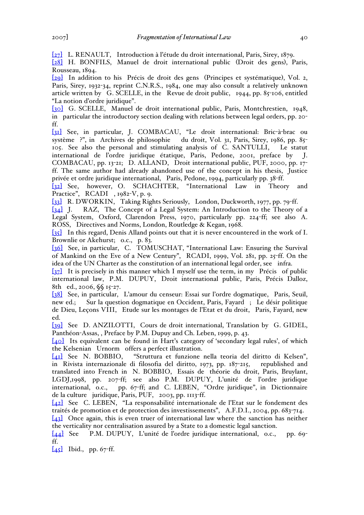[27] L. RENAULT, Introduction à l'étude du droit international, Paris, Sirey, 1879.

[28] H. BONFILS, Manuel de droit international public (Droit des gens), Paris, Rousseau, 1894.

[29] In addition to his Précis de droit des gens (Principes et systématique), Vol. 2, Paris, Sirey, 1932-34, reprint C.N.R.S., 1984, one may also consult a relatively unknown article written by G. SCELLE, in the Revue de droit public,  $1944$ , pp.  $85$ -106, entitled "La notion d'ordre juridique".

[30] G. SCELLE, Manuel de droit international public, Paris, Montchrestien, 1948, in particular the introductory section dealing with relations between legal orders, pp. 20 ff.

[31] See, in particular, J. COMBACAU, "Le droit international: Bric-à-brac ou du droit, Vol. 31, Paris, Sirey, 1986, pp. 85-105. See also the personal and stimulating analysis of C. SANTULLI, Le statut international de l'ordre juridique étatique, Paris, Pedone, 2001, preface by J. COMBACAU, pp. 13-21; D. ALLAND, Droit international public, PUF, 2000, pp. 17 ff. The same author had already abandoned use of the concept in his thesis, Justice privée et ordre juridique international, Paris, Pedone, 1994, particularly pp. 38-ff.

[32] See, however, O. SCHACHTER, "International Law in Theory and Practice", RCADI , 1982-V, p. 9.

[33] R. DWORKIN, Taking Rights Seriously, London, Duckworth, 1977, pp. 79-ff.

[34] J. RAZ, The Concept of a Legal System: An Introduction to the Theory of a Legal System, Oxford, Clarendon Press, 1970, particularly pp. 224-ff; see also A. ROSS, Directives and Norms, London, Routledge & Kegan, 1968.

[35] In this regard, Denis Alland points out that it is never encountered in the work of I. Brownlie or Akehurst; o.c., p. 83.

[36] See, in particular, C. TOMUSCHAT, "International Law: Ensuring the Survival of Mankind on the Eve of a New Century", RCADI, 1999, Vol. 281, pp. 25-ff. On the idea of the UN Charter as the constitution of an international legal order, see infra.

[37] It is precisely in this manner which I myself use the term, in my Précis of public international law, P.M. DUPUY, Droit international public, Paris, Précis Dalloz, 8th ed., 2006, §§ 15-27.

[38] See, in particular, L'amour du censeur: Essai sur l'ordre dogmatique, Paris, Seuil, new ed.; Sur la question dogmatique en Occident, Paris, Fayard ; Le désir politique de Dieu, Leçons VIII, Etude sur les montages de l'Etat et du droit, Paris, Fayard, new ed.

[39] See D. ANZILOTTI, Cours de droit international, Translation by G. GIDEL, Panthéon-Assas, , Preface by P.M. Dupuy and Ch. Leben, 1999, p. 43.

[40] Its equivalent can be found in Hart's category of 'secondary legal rules', of which the Kelsenian Urnorm offers a perfect illustration.

[41] See N. BOBBIO, "Struttura et funzione nella teoria del diritto di Kelsen", in Rivista internazionale di filosofia del diritto, 1973, pp. 187-215, republished and translated into French in N. BOBBIO, Essais de théorie du droit, Paris, Bruylant, LGDJ,1998, pp. 207-ff; see also P.M. DUPUY, L'unité de l'ordre juridique international, o.c., pp. 67-ff; and C. LEBEN, "Ordre juridique", in Dictionnaire de la culture juridique, Paris, PUF, 2003, pp. 1113-ff.

[42] See C. LEBEN, "La responsabilité internationale de l'Etat sur le fondement des traités de promotion et de protection des investissements", A.F.D.I., 2004, pp. 683-714.

[43] Once again, this is even truer of international law where the sanction has neither the verticality nor centralisation assured by a State to a domestic legal sanction.

[44] See P.M. DUPUY, L'unité de l'ordre juridique international, o.c., pp. 69 ff.

 $[45]$  Ibid., pp. 67-ff.